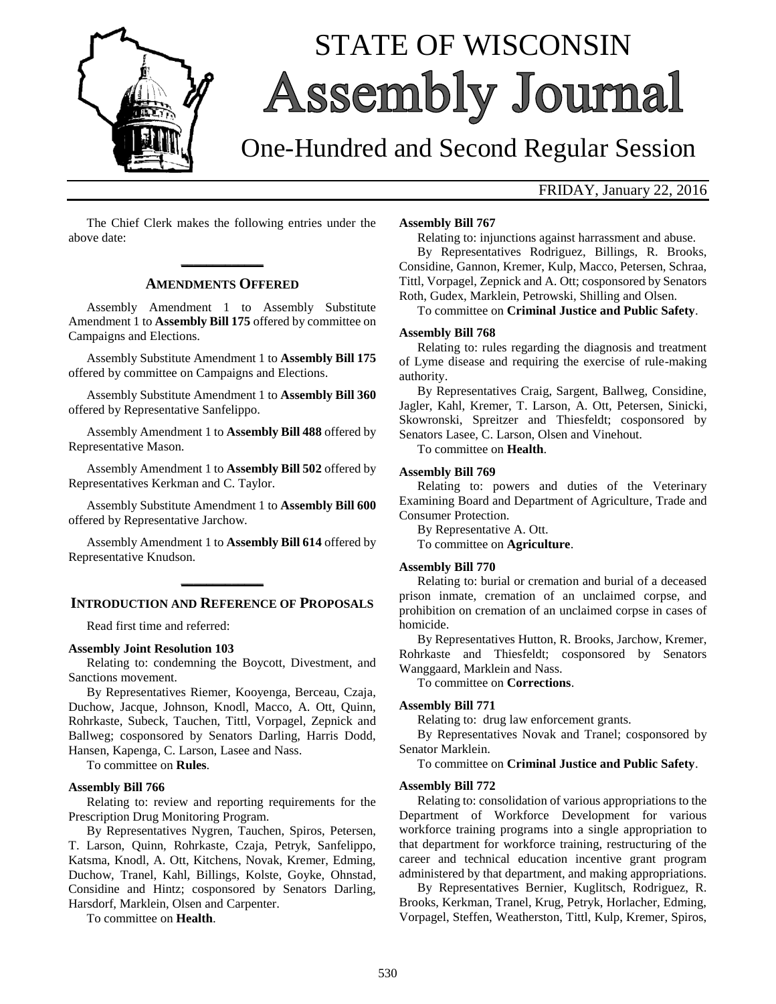

# STATE OF WISCONSIN **Assembly Journal**

## One-Hundred and Second Regular Session

### FRIDAY, January 22, 2016

The Chief Clerk makes the following entries under the above date:

## **\_\_\_\_\_\_\_\_\_\_\_\_\_ AMENDMENTS OFFERED**

Assembly Amendment 1 to Assembly Substitute Amendment 1 to **Assembly Bill 175** offered by committee on Campaigns and Elections.

Assembly Substitute Amendment 1 to **Assembly Bill 175** offered by committee on Campaigns and Elections.

Assembly Substitute Amendment 1 to **Assembly Bill 360** offered by Representative Sanfelippo.

Assembly Amendment 1 to **Assembly Bill 488** offered by Representative Mason.

Assembly Amendment 1 to **Assembly Bill 502** offered by Representatives Kerkman and C. Taylor.

Assembly Substitute Amendment 1 to **Assembly Bill 600** offered by Representative Jarchow.

Assembly Amendment 1 to **Assembly Bill 614** offered by Representative Knudson.

## **\_\_\_\_\_\_\_\_\_\_\_\_\_ INTRODUCTION AND REFERENCE OF PROPOSALS**

Read first time and referred:

#### **Assembly Joint Resolution 103**

Relating to: condemning the Boycott, Divestment, and Sanctions movement.

By Representatives Riemer, Kooyenga, Berceau, Czaja, Duchow, Jacque, Johnson, Knodl, Macco, A. Ott, Quinn, Rohrkaste, Subeck, Tauchen, Tittl, Vorpagel, Zepnick and Ballweg; cosponsored by Senators Darling, Harris Dodd, Hansen, Kapenga, C. Larson, Lasee and Nass.

To committee on **Rules**.

#### **Assembly Bill 766**

Relating to: review and reporting requirements for the Prescription Drug Monitoring Program.

By Representatives Nygren, Tauchen, Spiros, Petersen, T. Larson, Quinn, Rohrkaste, Czaja, Petryk, Sanfelippo, Katsma, Knodl, A. Ott, Kitchens, Novak, Kremer, Edming, Duchow, Tranel, Kahl, Billings, Kolste, Goyke, Ohnstad, Considine and Hintz; cosponsored by Senators Darling, Harsdorf, Marklein, Olsen and Carpenter.

To committee on **Health**.

#### **Assembly Bill 767**

Relating to: injunctions against harrassment and abuse. By Representatives Rodriguez, Billings, R. Brooks, Considine, Gannon, Kremer, Kulp, Macco, Petersen, Schraa, Tittl, Vorpagel, Zepnick and A. Ott; cosponsored by Senators Roth, Gudex, Marklein, Petrowski, Shilling and Olsen.

To committee on **Criminal Justice and Public Safety**.

#### **Assembly Bill 768**

Relating to: rules regarding the diagnosis and treatment of Lyme disease and requiring the exercise of rule-making authority.

By Representatives Craig, Sargent, Ballweg, Considine, Jagler, Kahl, Kremer, T. Larson, A. Ott, Petersen, Sinicki, Skowronski, Spreitzer and Thiesfeldt; cosponsored by Senators Lasee, C. Larson, Olsen and Vinehout.

To committee on **Health**.

#### **Assembly Bill 769**

Relating to: powers and duties of the Veterinary Examining Board and Department of Agriculture, Trade and Consumer Protection.

By Representative A. Ott. To committee on **Agriculture**.

#### **Assembly Bill 770**

Relating to: burial or cremation and burial of a deceased prison inmate, cremation of an unclaimed corpse, and prohibition on cremation of an unclaimed corpse in cases of homicide.

By Representatives Hutton, R. Brooks, Jarchow, Kremer, Rohrkaste and Thiesfeldt; cosponsored by Senators Wanggaard, Marklein and Nass.

To committee on **Corrections**.

#### **Assembly Bill 771**

Relating to: drug law enforcement grants.

By Representatives Novak and Tranel; cosponsored by Senator Marklein.

#### To committee on **Criminal Justice and Public Safety**.

#### **Assembly Bill 772**

Relating to: consolidation of various appropriations to the Department of Workforce Development for various workforce training programs into a single appropriation to that department for workforce training, restructuring of the career and technical education incentive grant program administered by that department, and making appropriations.

By Representatives Bernier, Kuglitsch, Rodriguez, R. Brooks, Kerkman, Tranel, Krug, Petryk, Horlacher, Edming, Vorpagel, Steffen, Weatherston, Tittl, Kulp, Kremer, Spiros,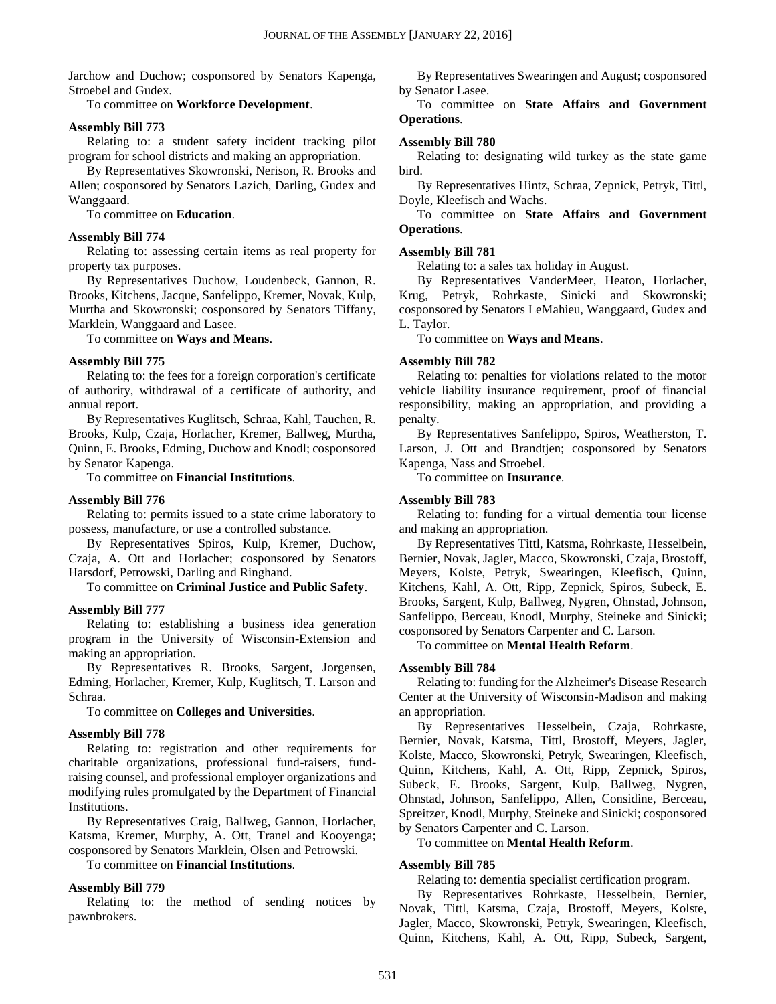Jarchow and Duchow; cosponsored by Senators Kapenga, Stroebel and Gudex.

To committee on **Workforce Development**.

#### **Assembly Bill 773**

Relating to: a student safety incident tracking pilot program for school districts and making an appropriation.

By Representatives Skowronski, Nerison, R. Brooks and Allen; cosponsored by Senators Lazich, Darling, Gudex and Wanggaard.

To committee on **Education**.

#### **Assembly Bill 774**

Relating to: assessing certain items as real property for property tax purposes.

By Representatives Duchow, Loudenbeck, Gannon, R. Brooks, Kitchens, Jacque, Sanfelippo, Kremer, Novak, Kulp, Murtha and Skowronski; cosponsored by Senators Tiffany, Marklein, Wanggaard and Lasee.

To committee on **Ways and Means**.

#### **Assembly Bill 775**

Relating to: the fees for a foreign corporation's certificate of authority, withdrawal of a certificate of authority, and annual report.

By Representatives Kuglitsch, Schraa, Kahl, Tauchen, R. Brooks, Kulp, Czaja, Horlacher, Kremer, Ballweg, Murtha, Quinn, E. Brooks, Edming, Duchow and Knodl; cosponsored by Senator Kapenga.

To committee on **Financial Institutions**.

#### **Assembly Bill 776**

Relating to: permits issued to a state crime laboratory to possess, manufacture, or use a controlled substance.

By Representatives Spiros, Kulp, Kremer, Duchow, Czaja, A. Ott and Horlacher; cosponsored by Senators Harsdorf, Petrowski, Darling and Ringhand.

To committee on **Criminal Justice and Public Safety**.

#### **Assembly Bill 777**

Relating to: establishing a business idea generation program in the University of Wisconsin-Extension and making an appropriation.

By Representatives R. Brooks, Sargent, Jorgensen, Edming, Horlacher, Kremer, Kulp, Kuglitsch, T. Larson and Schraa.

To committee on **Colleges and Universities**.

#### **Assembly Bill 778**

Relating to: registration and other requirements for charitable organizations, professional fund-raisers, fundraising counsel, and professional employer organizations and modifying rules promulgated by the Department of Financial Institutions.

By Representatives Craig, Ballweg, Gannon, Horlacher, Katsma, Kremer, Murphy, A. Ott, Tranel and Kooyenga; cosponsored by Senators Marklein, Olsen and Petrowski.

To committee on **Financial Institutions**.

#### **Assembly Bill 779**

Relating to: the method of sending notices by pawnbrokers.

By Representatives Swearingen and August; cosponsored by Senator Lasee.

To committee on **State Affairs and Government Operations**.

#### **Assembly Bill 780**

Relating to: designating wild turkey as the state game bird.

By Representatives Hintz, Schraa, Zepnick, Petryk, Tittl, Doyle, Kleefisch and Wachs.

To committee on **State Affairs and Government Operations**.

#### **Assembly Bill 781**

Relating to: a sales tax holiday in August.

By Representatives VanderMeer, Heaton, Horlacher, Krug, Petryk, Rohrkaste, Sinicki and Skowronski; cosponsored by Senators LeMahieu, Wanggaard, Gudex and L. Taylor.

To committee on **Ways and Means**.

#### **Assembly Bill 782**

Relating to: penalties for violations related to the motor vehicle liability insurance requirement, proof of financial responsibility, making an appropriation, and providing a penalty.

By Representatives Sanfelippo, Spiros, Weatherston, T. Larson, J. Ott and Brandtjen; cosponsored by Senators Kapenga, Nass and Stroebel.

To committee on **Insurance**.

#### **Assembly Bill 783**

Relating to: funding for a virtual dementia tour license and making an appropriation.

By Representatives Tittl, Katsma, Rohrkaste, Hesselbein, Bernier, Novak, Jagler, Macco, Skowronski, Czaja, Brostoff, Meyers, Kolste, Petryk, Swearingen, Kleefisch, Quinn, Kitchens, Kahl, A. Ott, Ripp, Zepnick, Spiros, Subeck, E. Brooks, Sargent, Kulp, Ballweg, Nygren, Ohnstad, Johnson, Sanfelippo, Berceau, Knodl, Murphy, Steineke and Sinicki; cosponsored by Senators Carpenter and C. Larson.

To committee on **Mental Health Reform**.

#### **Assembly Bill 784**

Relating to: funding for the Alzheimer's Disease Research Center at the University of Wisconsin-Madison and making an appropriation.

By Representatives Hesselbein, Czaja, Rohrkaste, Bernier, Novak, Katsma, Tittl, Brostoff, Meyers, Jagler, Kolste, Macco, Skowronski, Petryk, Swearingen, Kleefisch, Quinn, Kitchens, Kahl, A. Ott, Ripp, Zepnick, Spiros, Subeck, E. Brooks, Sargent, Kulp, Ballweg, Nygren, Ohnstad, Johnson, Sanfelippo, Allen, Considine, Berceau, Spreitzer, Knodl, Murphy, Steineke and Sinicki; cosponsored by Senators Carpenter and C. Larson.

To committee on **Mental Health Reform**.

#### **Assembly Bill 785**

Relating to: dementia specialist certification program.

By Representatives Rohrkaste, Hesselbein, Bernier, Novak, Tittl, Katsma, Czaja, Brostoff, Meyers, Kolste, Jagler, Macco, Skowronski, Petryk, Swearingen, Kleefisch, Quinn, Kitchens, Kahl, A. Ott, Ripp, Subeck, Sargent,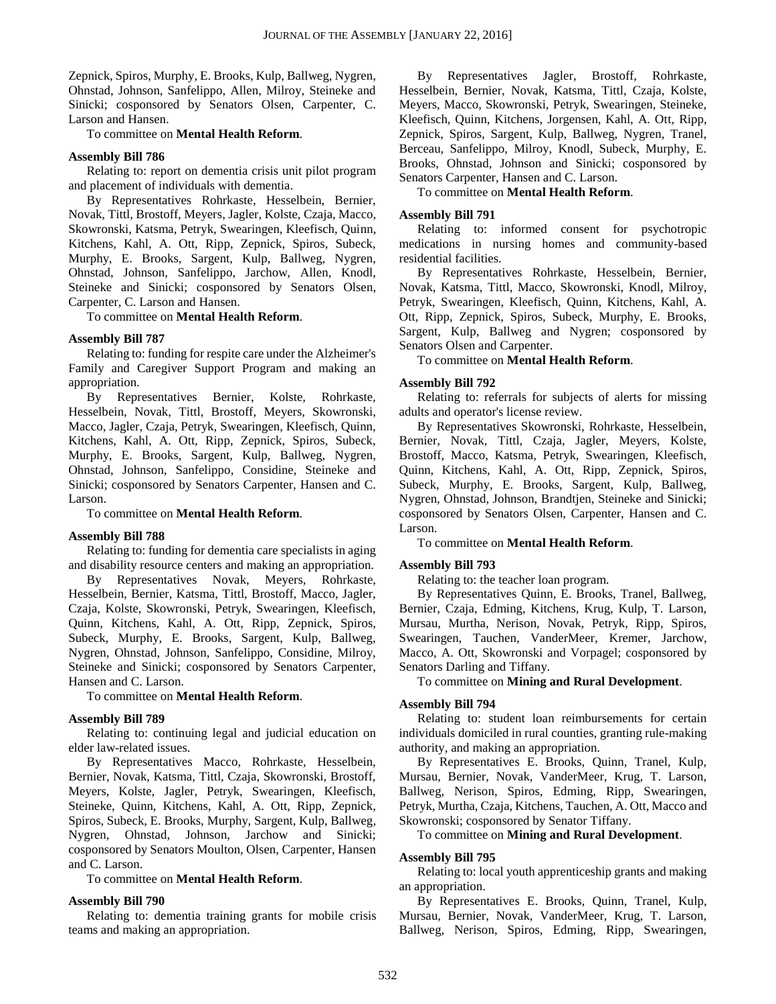Zepnick, Spiros, Murphy, E. Brooks, Kulp, Ballweg, Nygren, Ohnstad, Johnson, Sanfelippo, Allen, Milroy, Steineke and Sinicki; cosponsored by Senators Olsen, Carpenter, C. Larson and Hansen.

To committee on **Mental Health Reform**.

#### **Assembly Bill 786**

Relating to: report on dementia crisis unit pilot program and placement of individuals with dementia.

By Representatives Rohrkaste, Hesselbein, Bernier, Novak, Tittl, Brostoff, Meyers, Jagler, Kolste, Czaja, Macco, Skowronski, Katsma, Petryk, Swearingen, Kleefisch, Quinn, Kitchens, Kahl, A. Ott, Ripp, Zepnick, Spiros, Subeck, Murphy, E. Brooks, Sargent, Kulp, Ballweg, Nygren, Ohnstad, Johnson, Sanfelippo, Jarchow, Allen, Knodl, Steineke and Sinicki; cosponsored by Senators Olsen, Carpenter, C. Larson and Hansen.

To committee on **Mental Health Reform**.

#### **Assembly Bill 787**

Relating to: funding for respite care under the Alzheimer's Family and Caregiver Support Program and making an appropriation.

By Representatives Bernier, Kolste, Rohrkaste, Hesselbein, Novak, Tittl, Brostoff, Meyers, Skowronski, Macco, Jagler, Czaja, Petryk, Swearingen, Kleefisch, Quinn, Kitchens, Kahl, A. Ott, Ripp, Zepnick, Spiros, Subeck, Murphy, E. Brooks, Sargent, Kulp, Ballweg, Nygren, Ohnstad, Johnson, Sanfelippo, Considine, Steineke and Sinicki; cosponsored by Senators Carpenter, Hansen and C. Larson.

To committee on **Mental Health Reform**.

#### **Assembly Bill 788**

Relating to: funding for dementia care specialists in aging and disability resource centers and making an appropriation.

By Representatives Novak, Meyers, Rohrkaste, Hesselbein, Bernier, Katsma, Tittl, Brostoff, Macco, Jagler, Czaja, Kolste, Skowronski, Petryk, Swearingen, Kleefisch, Quinn, Kitchens, Kahl, A. Ott, Ripp, Zepnick, Spiros, Subeck, Murphy, E. Brooks, Sargent, Kulp, Ballweg, Nygren, Ohnstad, Johnson, Sanfelippo, Considine, Milroy, Steineke and Sinicki; cosponsored by Senators Carpenter, Hansen and C. Larson.

To committee on **Mental Health Reform**.

#### **Assembly Bill 789**

Relating to: continuing legal and judicial education on elder law-related issues.

By Representatives Macco, Rohrkaste, Hesselbein, Bernier, Novak, Katsma, Tittl, Czaja, Skowronski, Brostoff, Meyers, Kolste, Jagler, Petryk, Swearingen, Kleefisch, Steineke, Quinn, Kitchens, Kahl, A. Ott, Ripp, Zepnick, Spiros, Subeck, E. Brooks, Murphy, Sargent, Kulp, Ballweg, Nygren, Ohnstad, Johnson, Jarchow and Sinicki; cosponsored by Senators Moulton, Olsen, Carpenter, Hansen and C. Larson.

To committee on **Mental Health Reform**.

#### **Assembly Bill 790**

Relating to: dementia training grants for mobile crisis teams and making an appropriation.

By Representatives Jagler, Brostoff, Rohrkaste, Hesselbein, Bernier, Novak, Katsma, Tittl, Czaja, Kolste, Meyers, Macco, Skowronski, Petryk, Swearingen, Steineke, Kleefisch, Quinn, Kitchens, Jorgensen, Kahl, A. Ott, Ripp, Zepnick, Spiros, Sargent, Kulp, Ballweg, Nygren, Tranel, Berceau, Sanfelippo, Milroy, Knodl, Subeck, Murphy, E. Brooks, Ohnstad, Johnson and Sinicki; cosponsored by Senators Carpenter, Hansen and C. Larson.

To committee on **Mental Health Reform**.

#### **Assembly Bill 791**

Relating to: informed consent for psychotropic medications in nursing homes and community-based residential facilities.

By Representatives Rohrkaste, Hesselbein, Bernier, Novak, Katsma, Tittl, Macco, Skowronski, Knodl, Milroy, Petryk, Swearingen, Kleefisch, Quinn, Kitchens, Kahl, A. Ott, Ripp, Zepnick, Spiros, Subeck, Murphy, E. Brooks, Sargent, Kulp, Ballweg and Nygren; cosponsored by Senators Olsen and Carpenter.

To committee on **Mental Health Reform**.

#### **Assembly Bill 792**

Relating to: referrals for subjects of alerts for missing adults and operator's license review.

By Representatives Skowronski, Rohrkaste, Hesselbein, Bernier, Novak, Tittl, Czaja, Jagler, Meyers, Kolste, Brostoff, Macco, Katsma, Petryk, Swearingen, Kleefisch, Quinn, Kitchens, Kahl, A. Ott, Ripp, Zepnick, Spiros, Subeck, Murphy, E. Brooks, Sargent, Kulp, Ballweg, Nygren, Ohnstad, Johnson, Brandtjen, Steineke and Sinicki; cosponsored by Senators Olsen, Carpenter, Hansen and C. Larson.

#### To committee on **Mental Health Reform**.

#### **Assembly Bill 793**

Relating to: the teacher loan program.

By Representatives Quinn, E. Brooks, Tranel, Ballweg, Bernier, Czaja, Edming, Kitchens, Krug, Kulp, T. Larson, Mursau, Murtha, Nerison, Novak, Petryk, Ripp, Spiros, Swearingen, Tauchen, VanderMeer, Kremer, Jarchow, Macco, A. Ott, Skowronski and Vorpagel; cosponsored by Senators Darling and Tiffany.

To committee on **Mining and Rural Development**.

#### **Assembly Bill 794**

Relating to: student loan reimbursements for certain individuals domiciled in rural counties, granting rule-making authority, and making an appropriation.

By Representatives E. Brooks, Quinn, Tranel, Kulp, Mursau, Bernier, Novak, VanderMeer, Krug, T. Larson, Ballweg, Nerison, Spiros, Edming, Ripp, Swearingen, Petryk, Murtha, Czaja, Kitchens, Tauchen, A. Ott, Macco and Skowronski; cosponsored by Senator Tiffany.

To committee on **Mining and Rural Development**.

#### **Assembly Bill 795**

Relating to: local youth apprenticeship grants and making an appropriation.

By Representatives E. Brooks, Quinn, Tranel, Kulp, Mursau, Bernier, Novak, VanderMeer, Krug, T. Larson, Ballweg, Nerison, Spiros, Edming, Ripp, Swearingen,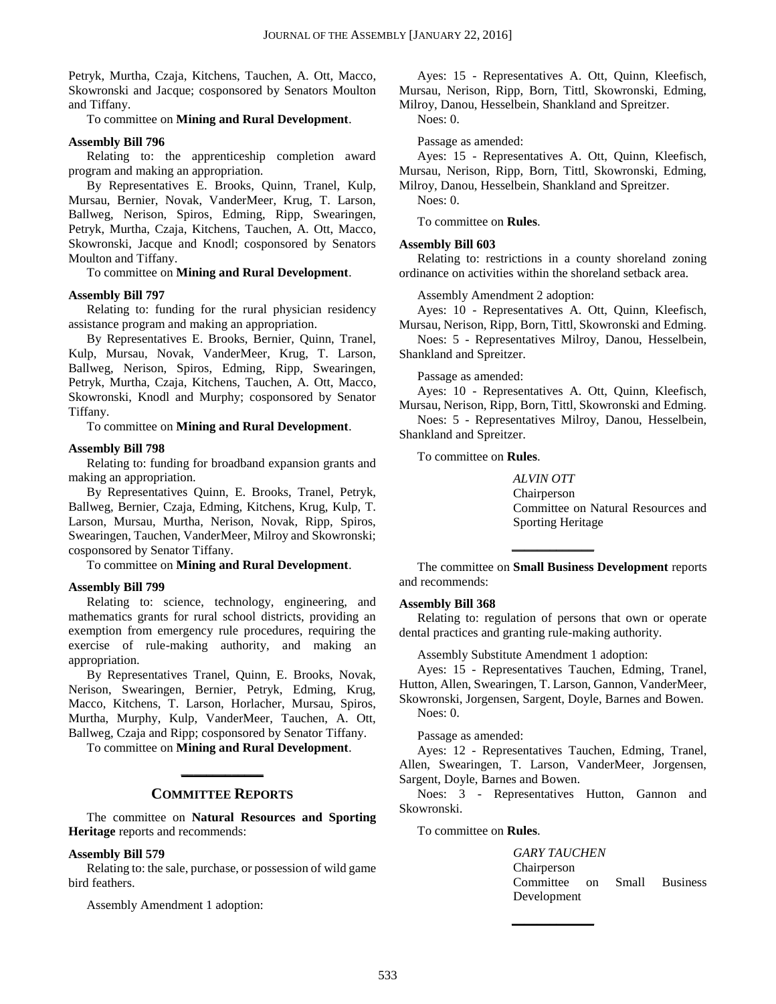Petryk, Murtha, Czaja, Kitchens, Tauchen, A. Ott, Macco, Skowronski and Jacque; cosponsored by Senators Moulton and Tiffany.

To committee on **Mining and Rural Development**.

#### **Assembly Bill 796**

Relating to: the apprenticeship completion award program and making an appropriation.

By Representatives E. Brooks, Quinn, Tranel, Kulp, Mursau, Bernier, Novak, VanderMeer, Krug, T. Larson, Ballweg, Nerison, Spiros, Edming, Ripp, Swearingen, Petryk, Murtha, Czaja, Kitchens, Tauchen, A. Ott, Macco, Skowronski, Jacque and Knodl; cosponsored by Senators Moulton and Tiffany.

To committee on **Mining and Rural Development**.

#### **Assembly Bill 797**

Relating to: funding for the rural physician residency assistance program and making an appropriation.

By Representatives E. Brooks, Bernier, Quinn, Tranel, Kulp, Mursau, Novak, VanderMeer, Krug, T. Larson, Ballweg, Nerison, Spiros, Edming, Ripp, Swearingen, Petryk, Murtha, Czaja, Kitchens, Tauchen, A. Ott, Macco, Skowronski, Knodl and Murphy; cosponsored by Senator Tiffany.

To committee on **Mining and Rural Development**.

#### **Assembly Bill 798**

Relating to: funding for broadband expansion grants and making an appropriation.

By Representatives Quinn, E. Brooks, Tranel, Petryk, Ballweg, Bernier, Czaja, Edming, Kitchens, Krug, Kulp, T. Larson, Mursau, Murtha, Nerison, Novak, Ripp, Spiros, Swearingen, Tauchen, VanderMeer, Milroy and Skowronski; cosponsored by Senator Tiffany.

To committee on **Mining and Rural Development**.

#### **Assembly Bill 799**

Relating to: science, technology, engineering, and mathematics grants for rural school districts, providing an exemption from emergency rule procedures, requiring the exercise of rule-making authority, and making an appropriation.

By Representatives Tranel, Quinn, E. Brooks, Novak, Nerison, Swearingen, Bernier, Petryk, Edming, Krug, Macco, Kitchens, T. Larson, Horlacher, Mursau, Spiros, Murtha, Murphy, Kulp, VanderMeer, Tauchen, A. Ott, Ballweg, Czaja and Ripp; cosponsored by Senator Tiffany.

To committee on **Mining and Rural Development**. **\_\_\_\_\_\_\_\_\_\_\_\_\_**

#### **COMMITTEE REPORTS**

The committee on **Natural Resources and Sporting Heritage** reports and recommends:

#### **Assembly Bill 579**

Relating to: the sale, purchase, or possession of wild game bird feathers.

Assembly Amendment 1 adoption:

Ayes: 15 - Representatives A. Ott, Quinn, Kleefisch, Mursau, Nerison, Ripp, Born, Tittl, Skowronski, Edming, Milroy, Danou, Hesselbein, Shankland and Spreitzer.

Noes: 0.

Passage as amended:

Ayes: 15 - Representatives A. Ott, Quinn, Kleefisch, Mursau, Nerison, Ripp, Born, Tittl, Skowronski, Edming, Milroy, Danou, Hesselbein, Shankland and Spreitzer.

Noes: 0.

To committee on **Rules**.

#### **Assembly Bill 603**

Relating to: restrictions in a county shoreland zoning ordinance on activities within the shoreland setback area.

Assembly Amendment 2 adoption:

Ayes: 10 - Representatives A. Ott, Quinn, Kleefisch, Mursau, Nerison, Ripp, Born, Tittl, Skowronski and Edming.

Noes: 5 - Representatives Milroy, Danou, Hesselbein, Shankland and Spreitzer.

Passage as amended:

Ayes: 10 - Representatives A. Ott, Quinn, Kleefisch, Mursau, Nerison, Ripp, Born, Tittl, Skowronski and Edming.

Noes: 5 - Representatives Milroy, Danou, Hesselbein, Shankland and Spreitzer.

To committee on **Rules**.

*ALVIN OTT* Chairperson Committee on Natural Resources and Sporting Heritage

The committee on **Small Business Development** reports and recommends:

**\_\_\_\_\_\_\_\_\_\_\_\_\_**

#### **Assembly Bill 368**

Relating to: regulation of persons that own or operate dental practices and granting rule-making authority.

Assembly Substitute Amendment 1 adoption:

Ayes: 15 - Representatives Tauchen, Edming, Tranel, Hutton, Allen, Swearingen, T. Larson, Gannon, VanderMeer, Skowronski, Jorgensen, Sargent, Doyle, Barnes and Bowen. Noes: 0.

Passage as amended:

Ayes: 12 - Representatives Tauchen, Edming, Tranel, Allen, Swearingen, T. Larson, VanderMeer, Jorgensen, Sargent, Doyle, Barnes and Bowen.

Noes: 3 - Representatives Hutton, Gannon and Skowronski.

**\_\_\_\_\_\_\_\_\_\_\_\_\_**

To committee on **Rules**.

*GARY TAUCHEN* **Chairperson** Committee on Small Business Development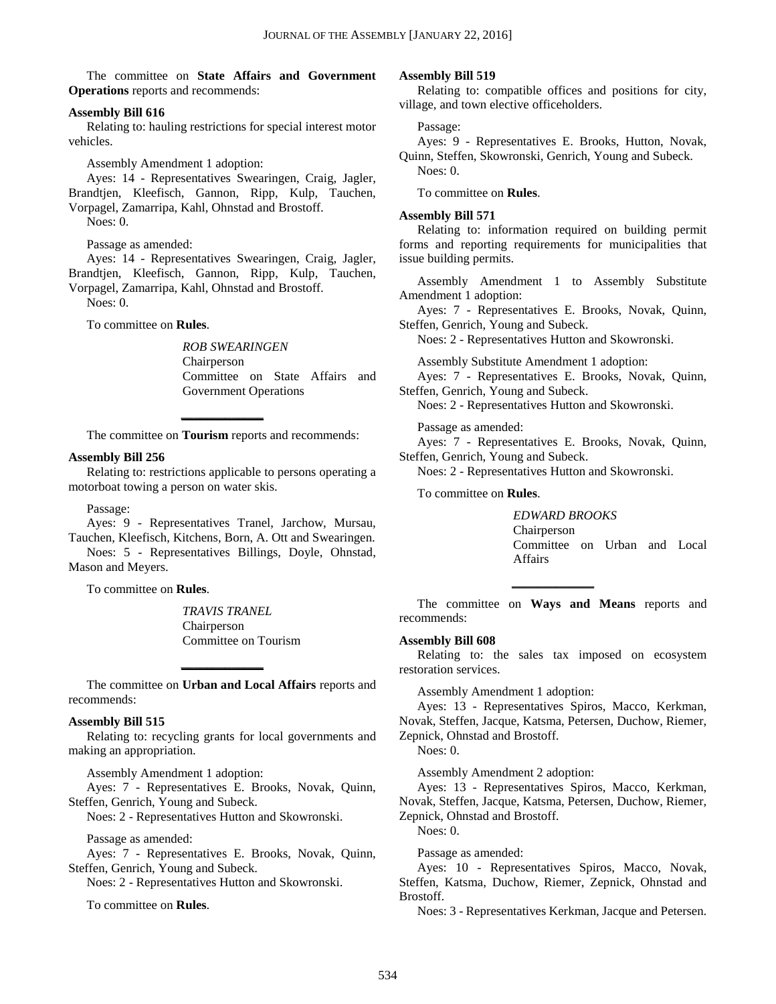The committee on **State Affairs and Government Operations** reports and recommends:

#### **Assembly Bill 616**

Relating to: hauling restrictions for special interest motor vehicles.

Assembly Amendment 1 adoption:

Ayes: 14 - Representatives Swearingen, Craig, Jagler, Brandtjen, Kleefisch, Gannon, Ripp, Kulp, Tauchen, Vorpagel, Zamarripa, Kahl, Ohnstad and Brostoff.

Noes: 0.

Passage as amended:

Ayes: 14 - Representatives Swearingen, Craig, Jagler, Brandtjen, Kleefisch, Gannon, Ripp, Kulp, Tauchen, Vorpagel, Zamarripa, Kahl, Ohnstad and Brostoff.

Noes: 0.

To committee on **Rules**.

*ROB SWEARINGEN* Chairperson Committee on State Affairs and Government Operations

**\_\_\_\_\_\_\_\_\_\_\_\_\_** The committee on **Tourism** reports and recommends:

#### **Assembly Bill 256**

Relating to: restrictions applicable to persons operating a motorboat towing a person on water skis.

Passage:

Ayes: 9 - Representatives Tranel, Jarchow, Mursau, Tauchen, Kleefisch, Kitchens, Born, A. Ott and Swearingen.

Noes: 5 - Representatives Billings, Doyle, Ohnstad, Mason and Meyers.

To committee on **Rules**.

*TRAVIS TRANEL* Chairperson Committee on Tourism

The committee on **Urban and Local Affairs** reports and recommends:

**\_\_\_\_\_\_\_\_\_\_\_\_\_**

#### **Assembly Bill 515**

Relating to: recycling grants for local governments and making an appropriation.

Assembly Amendment 1 adoption:

Ayes: 7 - Representatives E. Brooks, Novak, Quinn, Steffen, Genrich, Young and Subeck.

Noes: 2 - Representatives Hutton and Skowronski.

Passage as amended:

Ayes: 7 - Representatives E. Brooks, Novak, Quinn, Steffen, Genrich, Young and Subeck.

Noes: 2 - Representatives Hutton and Skowronski.

To committee on **Rules**.

#### **Assembly Bill 519**

Relating to: compatible offices and positions for city, village, and town elective officeholders.

#### Passage:

Ayes: 9 - Representatives E. Brooks, Hutton, Novak, Quinn, Steffen, Skowronski, Genrich, Young and Subeck. Noes: 0.

To committee on **Rules**.

#### **Assembly Bill 571**

Relating to: information required on building permit forms and reporting requirements for municipalities that issue building permits.

Assembly Amendment 1 to Assembly Substitute Amendment 1 adoption:

Ayes: 7 - Representatives E. Brooks, Novak, Quinn, Steffen, Genrich, Young and Subeck.

Noes: 2 - Representatives Hutton and Skowronski.

Assembly Substitute Amendment 1 adoption:

Ayes: 7 - Representatives E. Brooks, Novak, Quinn, Steffen, Genrich, Young and Subeck.

Noes: 2 - Representatives Hutton and Skowronski.

Passage as amended:

Ayes: 7 - Representatives E. Brooks, Novak, Quinn, Steffen, Genrich, Young and Subeck.

Noes: 2 - Representatives Hutton and Skowronski.

To committee on **Rules**.

*EDWARD BROOKS* Chairperson Committee on Urban and Local Affairs

The committee on **Ways and Means** reports and recommends:

**\_\_\_\_\_\_\_\_\_\_\_\_\_**

#### **Assembly Bill 608**

Relating to: the sales tax imposed on ecosystem restoration services.

Assembly Amendment 1 adoption:

Ayes: 13 - Representatives Spiros, Macco, Kerkman, Novak, Steffen, Jacque, Katsma, Petersen, Duchow, Riemer, Zepnick, Ohnstad and Brostoff.

Noes: 0.

Assembly Amendment 2 adoption:

Ayes: 13 - Representatives Spiros, Macco, Kerkman, Novak, Steffen, Jacque, Katsma, Petersen, Duchow, Riemer, Zepnick, Ohnstad and Brostoff.

Noes: 0.

Passage as amended:

Ayes: 10 - Representatives Spiros, Macco, Novak, Steffen, Katsma, Duchow, Riemer, Zepnick, Ohnstad and Brostoff.

Noes: 3 - Representatives Kerkman, Jacque and Petersen.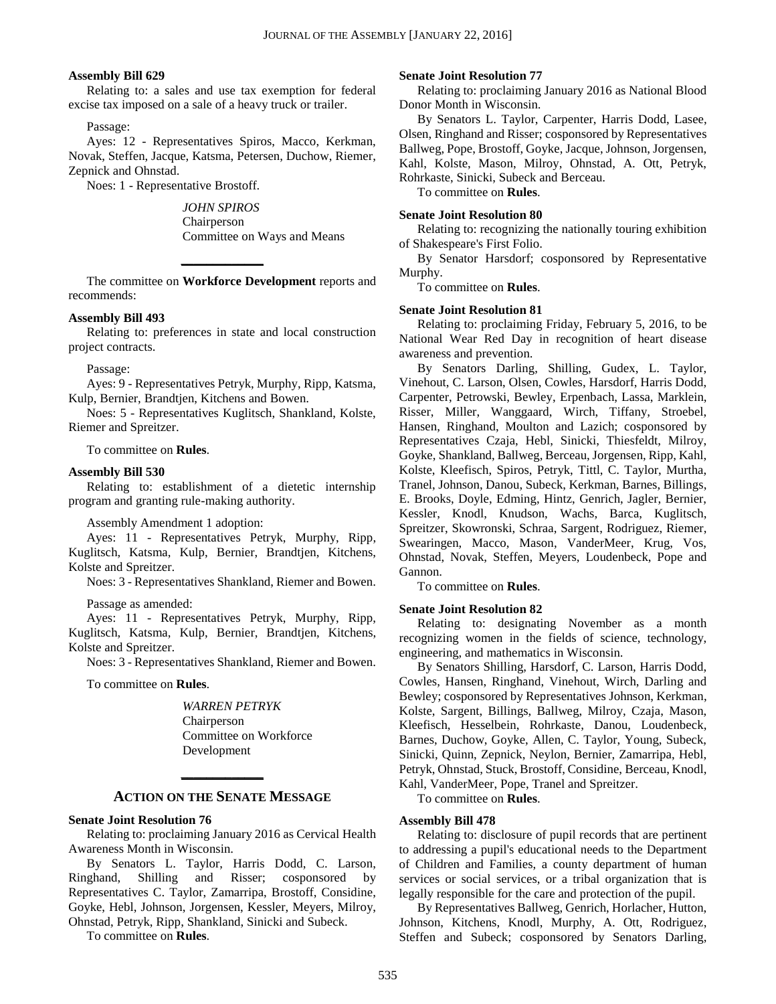#### **Assembly Bill 629**

Relating to: a sales and use tax exemption for federal excise tax imposed on a sale of a heavy truck or trailer.

Passage:

Ayes: 12 - Representatives Spiros, Macco, Kerkman, Novak, Steffen, Jacque, Katsma, Petersen, Duchow, Riemer, Zepnick and Ohnstad.

Noes: 1 - Representative Brostoff.

*JOHN SPIROS* Chairperson Committee on Ways and Means

The committee on **Workforce Development** reports and recommends:

**\_\_\_\_\_\_\_\_\_\_\_\_\_**

#### **Assembly Bill 493**

Relating to: preferences in state and local construction project contracts.

Passage:

Ayes: 9 - Representatives Petryk, Murphy, Ripp, Katsma, Kulp, Bernier, Brandtjen, Kitchens and Bowen.

Noes: 5 - Representatives Kuglitsch, Shankland, Kolste, Riemer and Spreitzer.

To committee on **Rules**.

#### **Assembly Bill 530**

Relating to: establishment of a dietetic internship program and granting rule-making authority.

Assembly Amendment 1 adoption:

Ayes: 11 - Representatives Petryk, Murphy, Ripp, Kuglitsch, Katsma, Kulp, Bernier, Brandtjen, Kitchens, Kolste and Spreitzer.

Noes: 3 - Representatives Shankland, Riemer and Bowen.

Passage as amended:

Ayes: 11 - Representatives Petryk, Murphy, Ripp, Kuglitsch, Katsma, Kulp, Bernier, Brandtjen, Kitchens, Kolste and Spreitzer.

Noes: 3 - Representatives Shankland, Riemer and Bowen.

To committee on **Rules**.

*WARREN PETRYK* Chairperson Committee on Workforce Development

## **\_\_\_\_\_\_\_\_\_\_\_\_\_ ACTION ON THE SENATE MESSAGE**

#### **Senate Joint Resolution 76**

Relating to: proclaiming January 2016 as Cervical Health Awareness Month in Wisconsin.

By Senators L. Taylor, Harris Dodd, C. Larson, Ringhand, Shilling and Risser; cosponsored by Representatives C. Taylor, Zamarripa, Brostoff, Considine, Goyke, Hebl, Johnson, Jorgensen, Kessler, Meyers, Milroy, Ohnstad, Petryk, Ripp, Shankland, Sinicki and Subeck.

To committee on **Rules**.

#### **Senate Joint Resolution 77**

Relating to: proclaiming January 2016 as National Blood Donor Month in Wisconsin.

By Senators L. Taylor, Carpenter, Harris Dodd, Lasee, Olsen, Ringhand and Risser; cosponsored by Representatives Ballweg, Pope, Brostoff, Goyke, Jacque, Johnson, Jorgensen, Kahl, Kolste, Mason, Milroy, Ohnstad, A. Ott, Petryk, Rohrkaste, Sinicki, Subeck and Berceau.

To committee on **Rules**.

#### **Senate Joint Resolution 80**

Relating to: recognizing the nationally touring exhibition of Shakespeare's First Folio.

By Senator Harsdorf; cosponsored by Representative Murphy.

To committee on **Rules**.

#### **Senate Joint Resolution 81**

Relating to: proclaiming Friday, February 5, 2016, to be National Wear Red Day in recognition of heart disease awareness and prevention.

By Senators Darling, Shilling, Gudex, L. Taylor, Vinehout, C. Larson, Olsen, Cowles, Harsdorf, Harris Dodd, Carpenter, Petrowski, Bewley, Erpenbach, Lassa, Marklein, Risser, Miller, Wanggaard, Wirch, Tiffany, Stroebel, Hansen, Ringhand, Moulton and Lazich; cosponsored by Representatives Czaja, Hebl, Sinicki, Thiesfeldt, Milroy, Goyke, Shankland, Ballweg, Berceau, Jorgensen, Ripp, Kahl, Kolste, Kleefisch, Spiros, Petryk, Tittl, C. Taylor, Murtha, Tranel, Johnson, Danou, Subeck, Kerkman, Barnes, Billings, E. Brooks, Doyle, Edming, Hintz, Genrich, Jagler, Bernier, Kessler, Knodl, Knudson, Wachs, Barca, Kuglitsch, Spreitzer, Skowronski, Schraa, Sargent, Rodriguez, Riemer, Swearingen, Macco, Mason, VanderMeer, Krug, Vos, Ohnstad, Novak, Steffen, Meyers, Loudenbeck, Pope and Gannon.

To committee on **Rules**.

#### **Senate Joint Resolution 82**

Relating to: designating November as a month recognizing women in the fields of science, technology, engineering, and mathematics in Wisconsin.

By Senators Shilling, Harsdorf, C. Larson, Harris Dodd, Cowles, Hansen, Ringhand, Vinehout, Wirch, Darling and Bewley; cosponsored by Representatives Johnson, Kerkman, Kolste, Sargent, Billings, Ballweg, Milroy, Czaja, Mason, Kleefisch, Hesselbein, Rohrkaste, Danou, Loudenbeck, Barnes, Duchow, Goyke, Allen, C. Taylor, Young, Subeck, Sinicki, Quinn, Zepnick, Neylon, Bernier, Zamarripa, Hebl, Petryk, Ohnstad, Stuck, Brostoff, Considine, Berceau, Knodl, Kahl, VanderMeer, Pope, Tranel and Spreitzer.

To committee on **Rules**.

#### **Assembly Bill 478**

Relating to: disclosure of pupil records that are pertinent to addressing a pupil's educational needs to the Department of Children and Families, a county department of human services or social services, or a tribal organization that is legally responsible for the care and protection of the pupil.

By Representatives Ballweg, Genrich, Horlacher, Hutton, Johnson, Kitchens, Knodl, Murphy, A. Ott, Rodriguez, Steffen and Subeck; cosponsored by Senators Darling,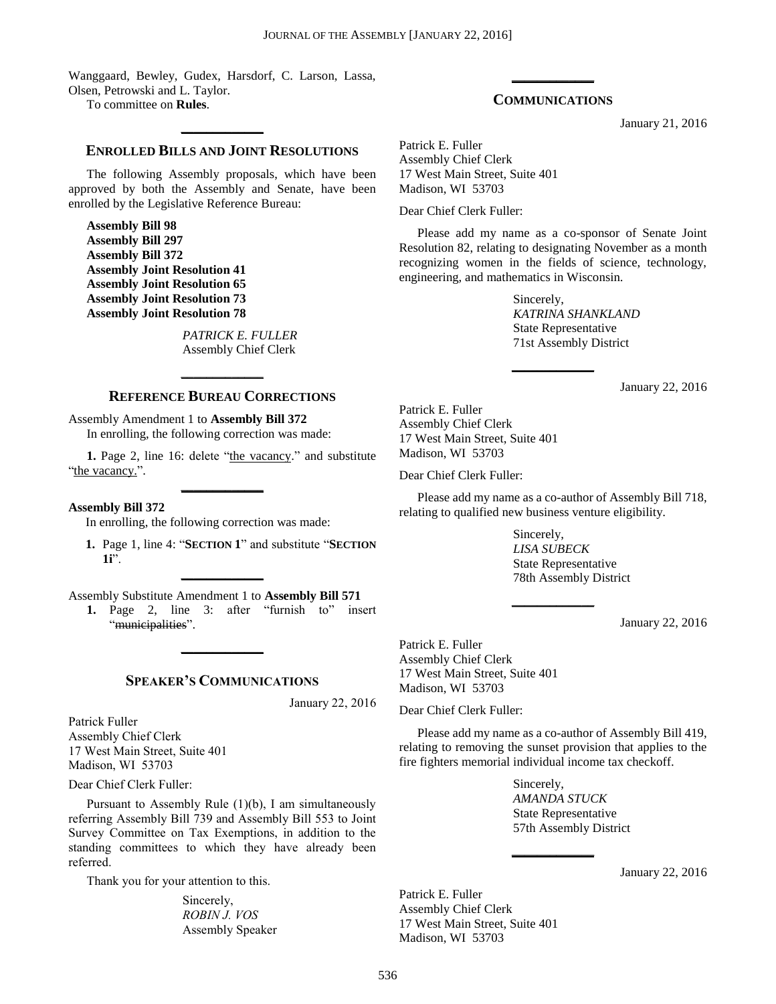Wanggaard, Bewley, Gudex, Harsdorf, C. Larson, Lassa, Olsen, Petrowski and L. Taylor.

To committee on **Rules**.

## **\_\_\_\_\_\_\_\_\_\_\_\_\_ ENROLLED BILLS AND JOINT RESOLUTIONS**

The following Assembly proposals, which have been approved by both the Assembly and Senate, have been enrolled by the Legislative Reference Bureau:

**Assembly Bill 98 Assembly Bill 297 Assembly Bill 372 Assembly Joint Resolution 41 Assembly Joint Resolution 65 Assembly Joint Resolution 73 Assembly Joint Resolution 78**

> *PATRICK E. FULLER* Assembly Chief Clerk

## **\_\_\_\_\_\_\_\_\_\_\_\_\_ REFERENCE BUREAU CORRECTIONS**

Assembly Amendment 1 to **Assembly Bill 372**

In enrolling, the following correction was made:

1. Page 2, line 16: delete "the vacancy." and substitute "the vacancy.". **\_\_\_\_\_\_\_\_\_\_\_\_\_**

**Assembly Bill 372**

In enrolling, the following correction was made:

**1.** Page 1, line 4: "**SECTION 1**" and substitute "**SECTION 1i**".

Assembly Substitute Amendment 1 to **Assembly Bill 571**

**\_\_\_\_\_\_\_\_\_\_\_\_\_**

1. Page 2, line 3: after "furnish to" insert "municipalities".

#### **SPEAKER'S COMMUNICATIONS**

**\_\_\_\_\_\_\_\_\_\_\_\_\_**

January 22, 2016

Patrick Fuller Assembly Chief Clerk 17 West Main Street, Suite 401 Madison, WI 53703

Dear Chief Clerk Fuller:

Pursuant to Assembly Rule (1)(b), I am simultaneously referring Assembly Bill 739 and Assembly Bill 553 to Joint Survey Committee on Tax Exemptions, in addition to the standing committees to which they have already been referred.

Thank you for your attention to this.

Sincerely, *ROBIN J. VOS* Assembly Speaker

## **\_\_\_\_\_\_\_\_\_\_\_\_\_ COMMUNICATIONS**

January 21, 2016

Patrick E. Fuller Assembly Chief Clerk 17 West Main Street, Suite 401 Madison, WI 53703

Dear Chief Clerk Fuller:

Please add my name as a co-sponsor of Senate Joint Resolution 82, relating to designating November as a month recognizing women in the fields of science, technology, engineering, and mathematics in Wisconsin.

**\_\_\_\_\_\_\_\_\_\_\_\_\_**

Sincerely, *KATRINA SHANKLAND* State Representative 71st Assembly District

January 22, 2016

Patrick E. Fuller Assembly Chief Clerk 17 West Main Street, Suite 401 Madison, WI 53703

Dear Chief Clerk Fuller:

Please add my name as a co-author of Assembly Bill 718, relating to qualified new business venture eligibility.

**\_\_\_\_\_\_\_\_\_\_\_\_\_**

Sincerely, *LISA SUBECK* State Representative 78th Assembly District

January 22, 2016

Patrick E. Fuller Assembly Chief Clerk 17 West Main Street, Suite 401 Madison, WI 53703

Dear Chief Clerk Fuller:

Please add my name as a co-author of Assembly Bill 419, relating to removing the sunset provision that applies to the fire fighters memorial individual income tax checkoff.

**\_\_\_\_\_\_\_\_\_\_\_\_\_**

Sincerely, *AMANDA STUCK* State Representative 57th Assembly District

January 22, 2016

Patrick E. Fuller Assembly Chief Clerk 17 West Main Street, Suite 401 Madison, WI 53703